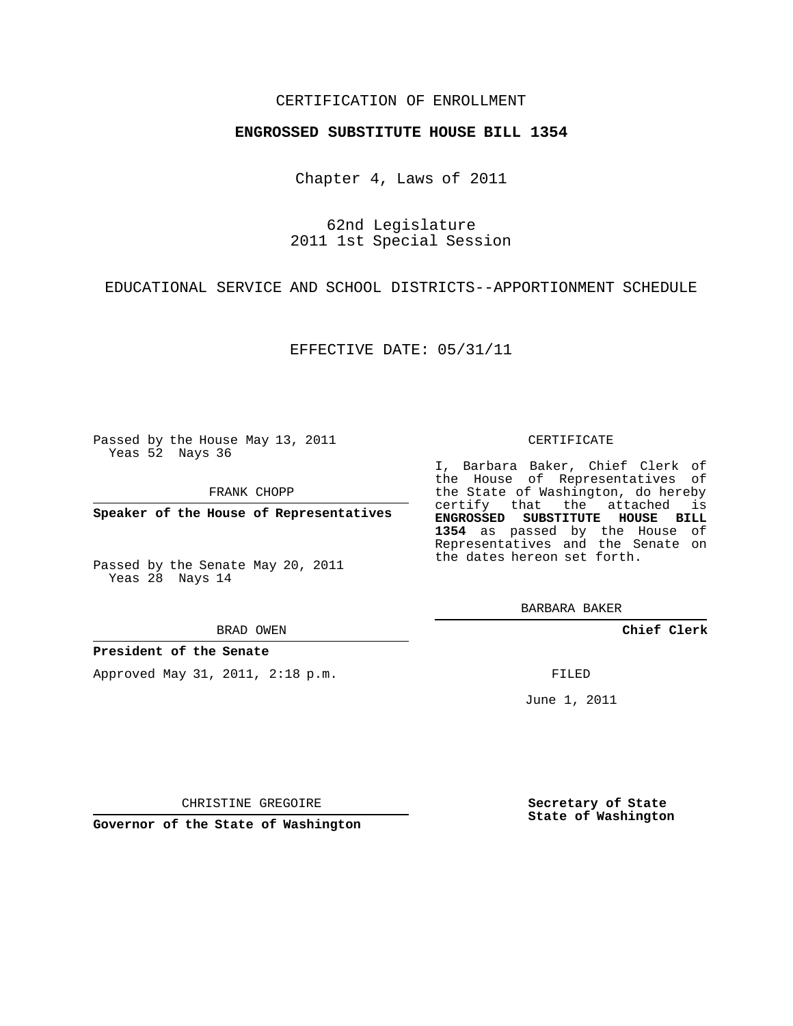### CERTIFICATION OF ENROLLMENT

#### **ENGROSSED SUBSTITUTE HOUSE BILL 1354**

Chapter 4, Laws of 2011

62nd Legislature 2011 1st Special Session

EDUCATIONAL SERVICE AND SCHOOL DISTRICTS--APPORTIONMENT SCHEDULE

EFFECTIVE DATE: 05/31/11

Passed by the House May 13, 2011 Yeas 52 Nays 36

FRANK CHOPP

**Speaker of the House of Representatives**

Passed by the Senate May 20, 2011 Yeas 28 Nays 14

BRAD OWEN

**President of the Senate**

Approved May 31, 2011, 2:18 p.m.

#### CERTIFICATE

I, Barbara Baker, Chief Clerk of the House of Representatives of the State of Washington, do hereby certify that the attached is **ENGROSSED SUBSTITUTE HOUSE BILL 1354** as passed by the House of Representatives and the Senate on the dates hereon set forth.

BARBARA BAKER

**Chief Clerk**

FILED

June 1, 2011

**Secretary of State State of Washington**

CHRISTINE GREGOIRE

**Governor of the State of Washington**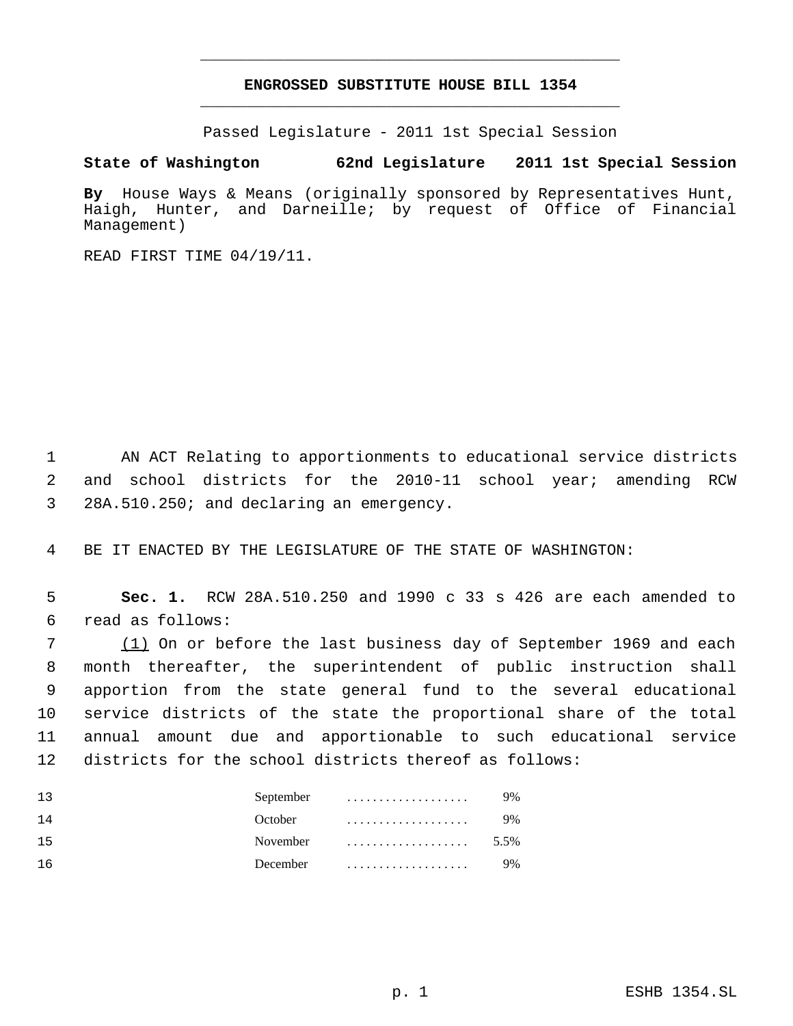# **ENGROSSED SUBSTITUTE HOUSE BILL 1354** \_\_\_\_\_\_\_\_\_\_\_\_\_\_\_\_\_\_\_\_\_\_\_\_\_\_\_\_\_\_\_\_\_\_\_\_\_\_\_\_\_\_\_\_\_

\_\_\_\_\_\_\_\_\_\_\_\_\_\_\_\_\_\_\_\_\_\_\_\_\_\_\_\_\_\_\_\_\_\_\_\_\_\_\_\_\_\_\_\_\_

Passed Legislature - 2011 1st Special Session

## **State of Washington 62nd Legislature 2011 1st Special Session**

**By** House Ways & Means (originally sponsored by Representatives Hunt, Haigh, Hunter, and Darneille; by request of Office of Financial Management)

READ FIRST TIME 04/19/11.

 1 AN ACT Relating to apportionments to educational service districts 2 and school districts for the 2010-11 school year; amending RCW 3 28A.510.250; and declaring an emergency.

4 BE IT ENACTED BY THE LEGISLATURE OF THE STATE OF WASHINGTON:

 5 **Sec. 1.** RCW 28A.510.250 and 1990 c 33 s 426 are each amended to 6 read as follows:

7 (1) On or before the last business day of September 1969 and each month thereafter, the superintendent of public instruction shall apportion from the state general fund to the several educational service districts of the state the proportional share of the total annual amount due and apportionable to such educational service districts for the school districts thereof as follows:

| 13        | September                                 | 9%   |
|-----------|-------------------------------------------|------|
| <b>14</b> | October                                   | 9%   |
| 15        | November $\dots\dots\dots\dots\dots\dots$ | 5.5% |
| ា 6       | December $\ldots, \ldots, \ldots, \ldots$ | 9%   |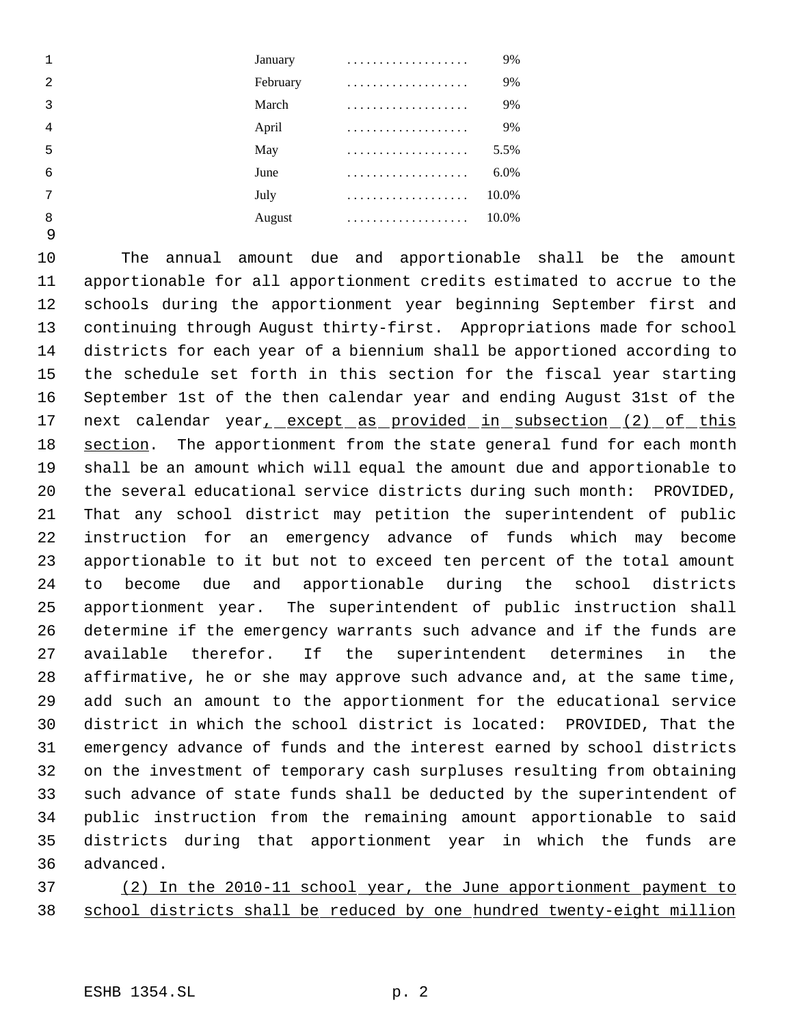|   | January | .        | 9%    |
|---|---------|----------|-------|
| 2 |         | February | 9%    |
| 3 | March   | .        | 9%    |
| 4 | April   |          | 9%    |
| 5 | May     |          | 5.5%  |
| 6 | June    |          | 6.0%  |
| 7 | July    |          | 10.0% |
| 8 | August  |          | 10.0% |
| 9 |         |          |       |

 The annual amount due and apportionable shall be the amount apportionable for all apportionment credits estimated to accrue to the schools during the apportionment year beginning September first and continuing through August thirty-first. Appropriations made for school districts for each year of a biennium shall be apportioned according to the schedule set forth in this section for the fiscal year starting September 1st of the then calendar year and ending August 31st of the 17 next calendar year<sub>1</sub> except as provided in subsection (2) of this 18 section. The apportionment from the state general fund for each month shall be an amount which will equal the amount due and apportionable to the several educational service districts during such month: PROVIDED, That any school district may petition the superintendent of public instruction for an emergency advance of funds which may become apportionable to it but not to exceed ten percent of the total amount to become due and apportionable during the school districts apportionment year. The superintendent of public instruction shall determine if the emergency warrants such advance and if the funds are available therefor. If the superintendent determines in the affirmative, he or she may approve such advance and, at the same time, add such an amount to the apportionment for the educational service district in which the school district is located: PROVIDED, That the emergency advance of funds and the interest earned by school districts on the investment of temporary cash surpluses resulting from obtaining such advance of state funds shall be deducted by the superintendent of public instruction from the remaining amount apportionable to said districts during that apportionment year in which the funds are advanced.

 (2) In the 2010-11 school year, the June apportionment payment to school districts shall be reduced by one hundred twenty-eight million